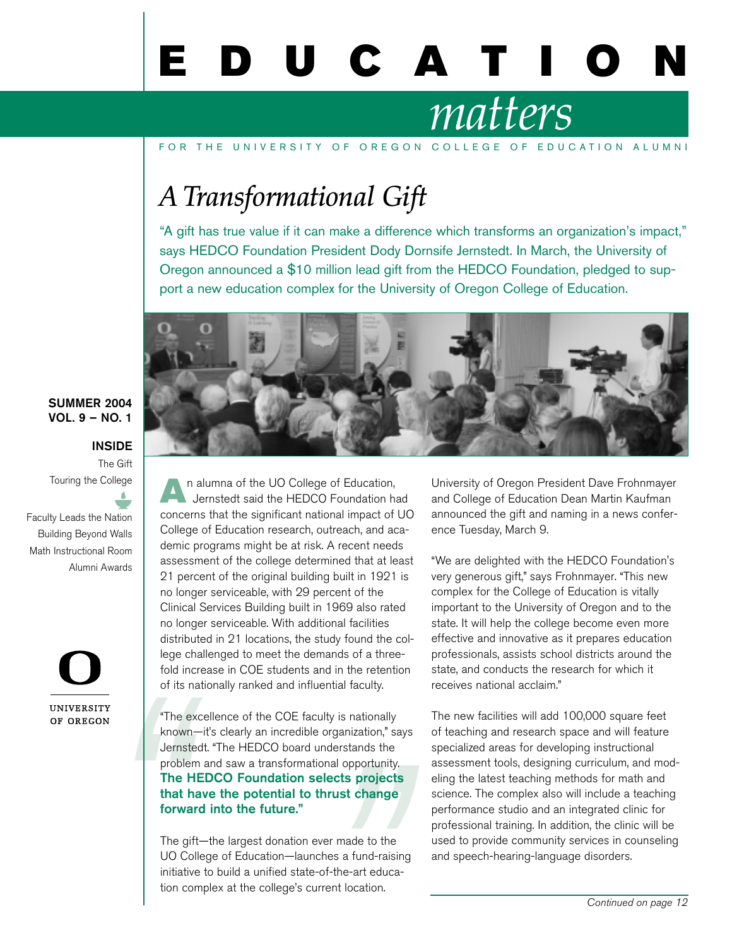# U C A T I

## *matters*

FOR THE UNIVERSITY OF OREGON COLLEGE OF EDUCATION ALUMNI

## *A Transformational Gift*

"A gift has true value if it can make a difference which transforms an organization's impact," says HEDCO Foundation President Dody Dornsife Jernstedt. In March, the University of Oregon announced a \$10 million lead gift from the HEDCO Foundation, pledged to support a new education complex for the University of Oregon College of Education.



#### SUMMER 2004 VOL. 9 – NO. 1

#### INSIDE

The Gift Touring the College

Faculty Leads the Nation Building Beyond Walls Math Instructional Room Alumni Awards  $\mathcal{L}$  "  $\mathcal{L}$ "



n alumna of the UO College of Education, Jernstedt said the HEDCO Foundation had concerns that the significant national impact of UO College of Education research, outreach, and academic programs might be at risk. A recent needs assessment of the college determined that at least 21 percent of the original building built in 1921 is no longer serviceable, with 29 percent of the Clinical Services Building built in 1969 also rated no longer serviceable. With additional facilities distributed in 21 locations, the study found the college challenged to meet the demands of a threefold increase in COE students and in the retention of its nationally ranked and influential faculty.

onal opportunity<br>**conducts project:**<br>**hrust change**<br>ver made to the<br>thes a fund-raisi<br>of-the-art educa<br>rent location. The that<br>
The that<br>
The that<br>
The that<br>
The UO (<br>
initia<br>
The UO (<br>
initia<br>
The UO (<br>
initia<br>
The UO ( "The excellence of the COE faculty is nationally known—it's clearly an incredible organization," says Jernstedt. "The HEDCO board understands the problem and saw a transformational opportunity. The HEDCO Foundation selects projects that have the potential to thrust change forward into the future."

The gift—the largest donation ever made to the UO College of Education—launches a fund-raising initiative to build a unified state-of-the-art education complex at the college's current location.

University of Oregon President Dave Frohnmayer and College of Education Dean Martin Kaufman announced the gift and naming in a news conference Tuesday, March 9.

"We are delighted with the HEDCO Foundation's very generous gift," says Frohnmayer. "This new complex for the College of Education is vitally important to the University of Oregon and to the state. It will help the college become even more effective and innovative as it prepares education professionals, assists school districts around the state, and conducts the research for which it receives national acclaim."

The new facilities will add 100,000 square feet of teaching and research space and will feature specialized areas for developing instructional assessment tools, designing curriculum, and modeling the latest teaching methods for math and science. The complex also will include a teaching performance studio and an integrated clinic for professional training. In addition, the clinic will be used to provide community services in counseling and speech-hearing-language disorders.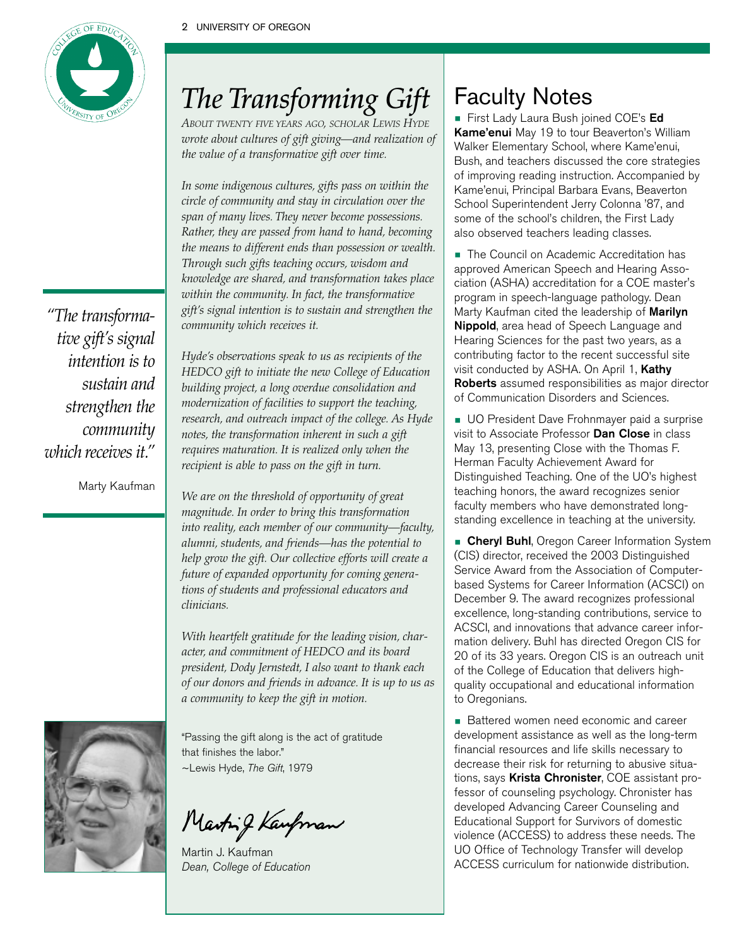

## *The Transforming Gift*

*ABOUT TWENTY FIVE YEARS AGO, SCHOLAR LEWIS HYDE wrote about cultures of gift giving—and realization of the value of a transformative gift over time.*

*In some indigenous cultures, gifts pass on within the circle of community and stay in circulation over the span of many lives. They never become possessions. Rather, they are passed from hand to hand, becoming the means to different ends than possession or wealth. Through such gifts teaching occurs, wisdom and knowledge are shared, and transformation takes place within the community. In fact, the transformative gift's signal intention is to sustain and strengthen the community which receives it.*

*Hyde's observations speak to us as recipients of the HEDCO gift to initiate the new College of Education building project, a long overdue consolidation and modernization of facilities to support the teaching, research, and outreach impact of the college. As Hyde notes, the transformation inherent in such a gift requires maturation. It is realized only when the recipient is able to pass on the gift in turn.*

*We are on the threshold of opportunity of great magnitude. In order to bring this transformation into reality, each member of our community—faculty, alumni, students, and friends—has the potential to help grow the gift. Our collective efforts will create a future of expanded opportunity for coming generations of students and professional educators and clinicians.*

*With heartfelt gratitude for the leading vision, character, and commitment of HEDCO and its board president, Dody Jernstedt, I also want to thank each of our donors and friends in advance. It is up to us as a community to keep the gift in motion.*

"Passing the gift along is the act of gratitude that finishes the labor." ~Lewis Hyde, The Gift, 1979

Marting Kaupman

Martin J. Kaufman Dean, College of Education

## Faculty Notes

**First Lady Laura Bush joined COE's Ed** Kame'enui May 19 to tour Beaverton's William Walker Elementary School, where Kame'enui, Bush, and teachers discussed the core strategies of improving reading instruction. Accompanied by Kame'enui, Principal Barbara Evans, Beaverton School Superintendent Jerry Colonna '87, and some of the school's children, the First Lady also observed teachers leading classes.

• The Council on Academic Accreditation has approved American Speech and Hearing Association (ASHA) accreditation for a COE master's program in speech-language pathology. Dean Marty Kaufman cited the leadership of **Marilyn** Nippold, area head of Speech Language and Hearing Sciences for the past two years, as a contributing factor to the recent successful site visit conducted by ASHA. On April 1, Kathy Roberts assumed responsibilities as major director of Communication Disorders and Sciences.

**• UO President Dave Frohnmayer paid a surprise** visit to Associate Professor Dan Close in class May 13, presenting Close with the Thomas F. Herman Faculty Achievement Award for Distinguished Teaching. One of the UO's highest teaching honors, the award recognizes senior faculty members who have demonstrated longstanding excellence in teaching at the university.

**Cheryl Buhl**, Oregon Career Information System (CIS) director, received the 2003 Distinguished Service Award from the Association of Computerbased Systems for Career Information (ACSCI) on December 9. The award recognizes professional excellence, long-standing contributions, service to ACSCI, and innovations that advance career information delivery. Buhl has directed Oregon CIS for 20 of its 33 years. Oregon CIS is an outreach unit of the College of Education that delivers highquality occupational and educational information to Oregonians.

• Battered women need economic and career development assistance as well as the long-term financial resources and life skills necessary to decrease their risk for returning to abusive situations, says Krista Chronister, COE assistant professor of counseling psychology. Chronister has developed Advancing Career Counseling and Educational Support for Survivors of domestic violence (ACCESS) to address these needs. The UO Office of Technology Transfer will develop ACCESS curriculum for nationwide distribution.

*"The transformative gift's signal intention is to sustain and strengthen the community which receives it."*

Marty Kaufman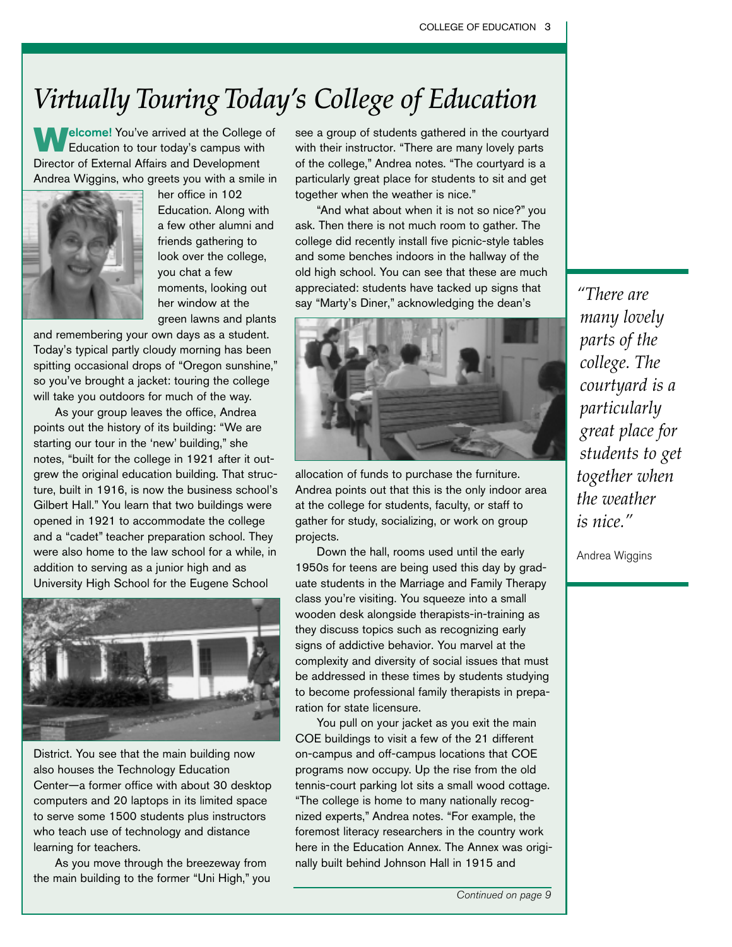## *Virtually Touring Today's College of Education*

**Melcome!** You've arrived at the College of Education to tour today's campus with Director of External Affairs and Development Andrea Wiggins, who greets you with a smile in



her office in 102 Education. Along with a few other alumni and friends gathering to look over the college, you chat a few moments, looking out her window at the green lawns and plants

and remembering your own days as a student. Today's typical partly cloudy morning has been spitting occasional drops of "Oregon sunshine," so you've brought a jacket: touring the college will take you outdoors for much of the way.

As your group leaves the office, Andrea points out the history of its building: "We are starting our tour in the 'new' building," she notes, "built for the college in 1921 after it outgrew the original education building. That structure, built in 1916, is now the business school's Gilbert Hall." You learn that two buildings were opened in 1921 to accommodate the college and a "cadet" teacher preparation school. They were also home to the law school for a while, in addition to serving as a junior high and as University High School for the Eugene School



District. You see that the main building now also houses the Technology Education Center—a former office with about 30 desktop computers and 20 laptops in its limited space to serve some 1500 students plus instructors who teach use of technology and distance learning for teachers.

As you move through the breezeway from the main building to the former "Uni High," you see a group of students gathered in the courtyard with their instructor. "There are many lovely parts of the college," Andrea notes. "The courtyard is a particularly great place for students to sit and get together when the weather is nice."

"And what about when it is not so nice?" you ask. Then there is not much room to gather. The college did recently install five picnic-style tables and some benches indoors in the hallway of the old high school. You can see that these are much appreciated: students have tacked up signs that say "Marty's Diner," acknowledging the dean's



allocation of funds to purchase the furniture. Andrea points out that this is the only indoor area at the college for students, faculty, or staff to gather for study, socializing, or work on group projects.

Down the hall, rooms used until the early 1950s for teens are being used this day by graduate students in the Marriage and Family Therapy class you're visiting. You squeeze into a small wooden desk alongside therapists-in-training as they discuss topics such as recognizing early signs of addictive behavior. You marvel at the complexity and diversity of social issues that must be addressed in these times by students studying to become professional family therapists in preparation for state licensure.

You pull on your jacket as you exit the main COE buildings to visit a few of the 21 different on-campus and off-campus locations that COE programs now occupy. Up the rise from the old tennis-court parking lot sits a small wood cottage. "The college is home to many nationally recognized experts," Andrea notes. "For example, the foremost literacy researchers in the country work here in the Education Annex. The Annex was originally built behind Johnson Hall in 1915 and

*"There are many lovely parts of the college. The courtyard is a particularly great place for students to get together when the weather is nice."*

Andrea Wiggins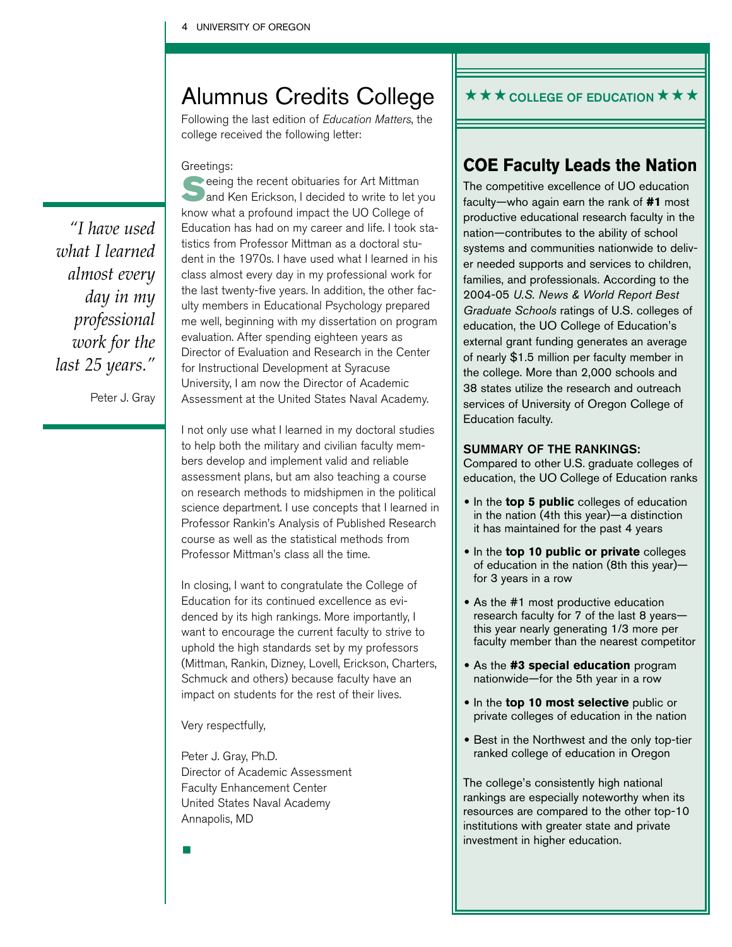## Alumnus Credits College

Following the last edition of Education Matters, the college received the following letter:

#### Greetings:

*"I have used what I learned almost every day in my professional work for the last 25 years."* 

Peter J. Gray

Seeing the recent obituaries for Art Mittman<br>
and Ken Erickson, I decided to write to let you know what a profound impact the UO College of Education has had on my career and life. I took statistics from Professor Mittman as a doctoral student in the 1970s. I have used what I learned in his class almost every day in my professional work for the last twenty-five years. In addition, the other faculty members in Educational Psychology prepared me well, beginning with my dissertation on program evaluation. After spending eighteen years as Director of Evaluation and Research in the Center for Instructional Development at Syracuse University, I am now the Director of Academic Assessment at the United States Naval Academy.

I not only use what I learned in my doctoral studies to help both the military and civilian faculty members develop and implement valid and reliable assessment plans, but am also teaching a course on research methods to midshipmen in the political science department. I use concepts that I learned in Professor Rankin's Analysis of Published Research course as well as the statistical methods from Professor Mittman's class all the time.

In closing, I want to congratulate the College of Education for its continued excellence as evidenced by its high rankings. More importantly, I want to encourage the current faculty to strive to uphold the high standards set by my professors (Mittman, Rankin, Dizney, Lovell, Erickson, Charters, Schmuck and others) because faculty have an impact on students for the rest of their lives.

Very respectfully,

Peter J. Gray, Ph.D. Director of Academic Assessment Faculty Enhancement Center United States Naval Academy Annapolis, MD

### $\star\star\star$  COLLEGE OF EDUCATION  $\star\star\star$

### **COE Faculty Leads the Nation**

The competitive excellence of UO education faculty—who again earn the rank of **#1** most productive educational research faculty in the nation—contributes to the ability of school systems and communities nationwide to deliver needed supports and services to children, families, and professionals. According to the 2004-05 *U.S. News & World Report Best Graduate Schools* ratings of U.S. colleges of education, the UO College of Education's external grant funding generates an average of nearly \$1.5 million per faculty member in the college. More than 2,000 schools and 38 states utilize the research and outreach services of University of Oregon College of Education faculty.

#### SUMMARY OF THE RANKINGS:

Compared to other U.S. graduate colleges of education, the UO College of Education ranks

- **•** In the **top 5 public** colleges of education in the nation (4th this year)—a distinction it has maintained for the past 4 years
- **•** In the **top 10 public or private** colleges of education in the nation (8th this year) for 3 years in a row
- **•** As the #1 most productive education research faculty for 7 of the last 8 years this year nearly generating 1/3 more per faculty member than the nearest competitor
- **•** As the **#3 special education** program nationwide—for the 5th year in a row
- **•** In the **top 10 most selective** public or private colleges of education in the nation
- **•** Best in the Northwest and the only top-tier ranked college of education in Oregon

The college's consistently high national rankings are especially noteworthy when its resources are compared to the other top-10 institutions with greater state and private investment in higher education.

•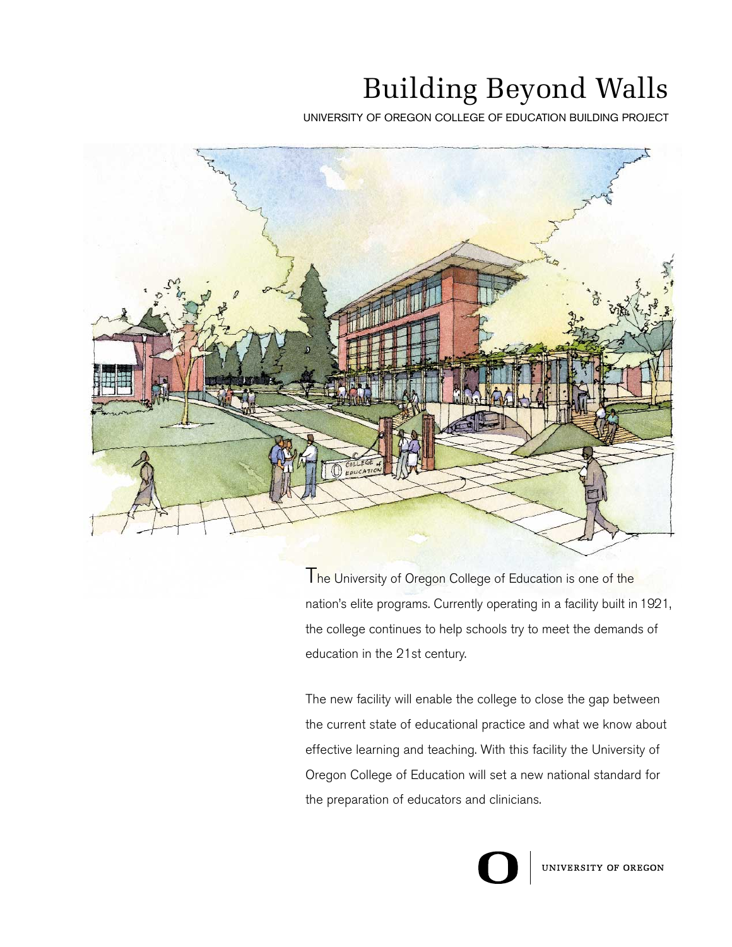## Building Beyond Walls

UNIVERSITY OF OREGON COLLEGE OF EDUCATION BUILDING PROJECT



The University of Oregon College of Education is one of the nation's elite programs. Currently operating in a facility built in 1921, the college continues to help schools try to meet the demands of education in the 21st century.

The new facility will enable the college to close the gap between the current state of educational practice and what we know about effective learning and teaching. With this facility the University of Oregon College of Education will set a new national standard for the preparation of educators and clinicians.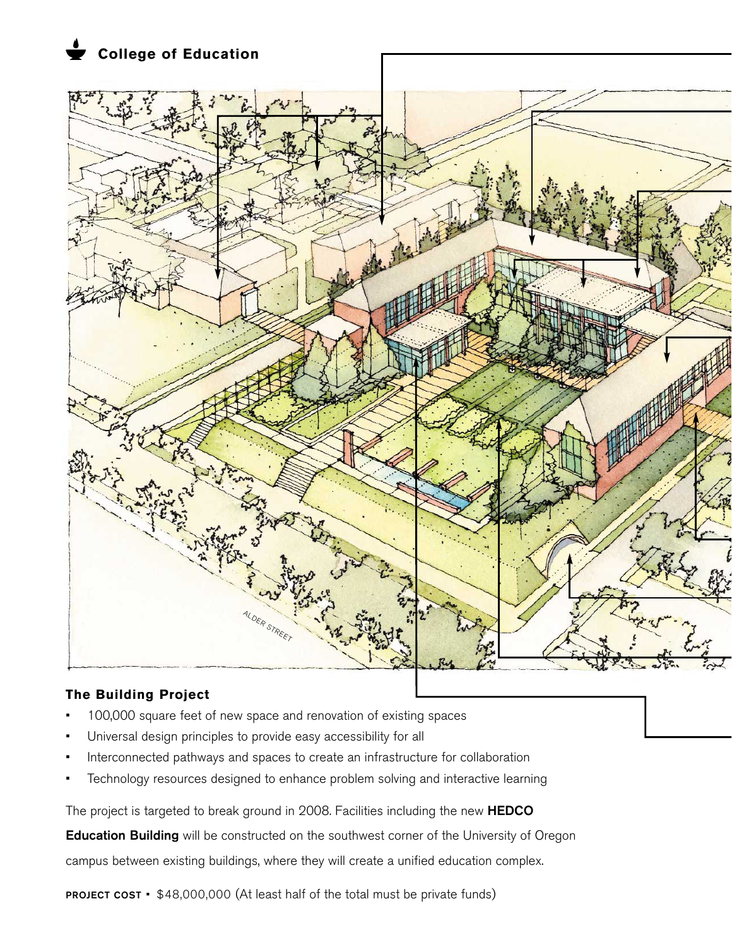**College of Education**



### **The Building Project**

- 100,000 square feet of new space and renovation of existing spaces
- Universal design principles to provide easy accessibility for all
- Interconnected pathways and spaces to create an infrastructure for collaboration
- Technology resources designed to enhance problem solving and interactive learning

The project is targeted to break ground in 2008. Facilities including the new HEDCO

Education Building will be constructed on the southwest corner of the University of Oregon

campus between existing buildings, where they will create a unified education complex.

PROJECT COST • \$48,000,000 (At least half of the total must be private funds)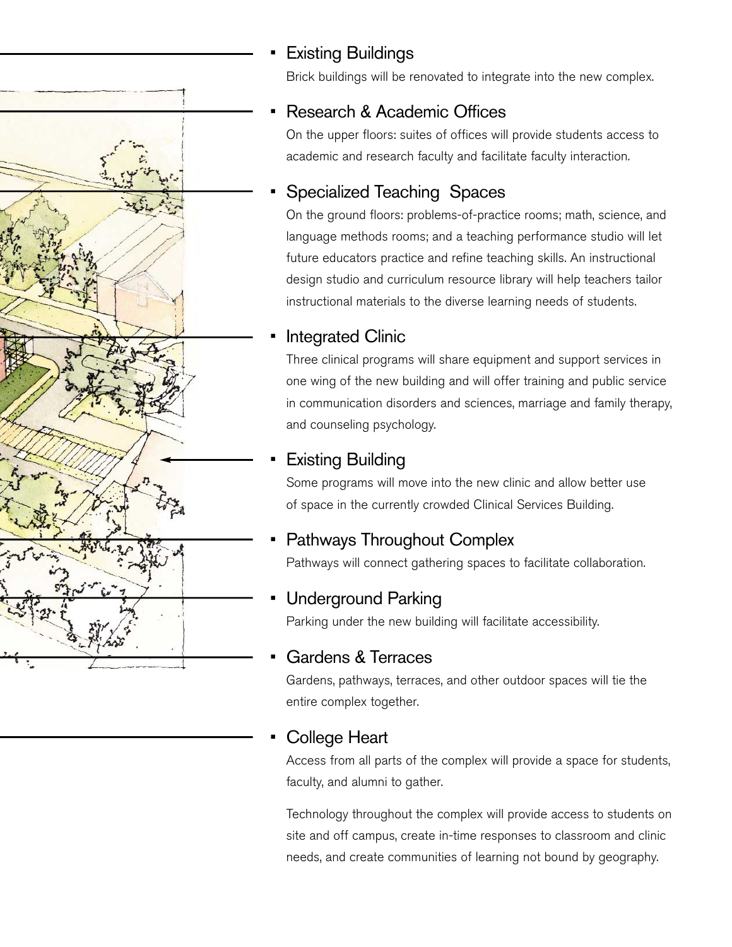## **Existing Buildings**

Brick buildings will be renovated to integrate into the new complex.

## • Research & Academic Offices

On the upper floors: suites of offices will provide students access to academic and research faculty and facilitate faculty interaction.

## Specialized Teaching Spaces

On the ground floors: problems-of-practice rooms; math, science, and language methods rooms; and a teaching performance studio will let future educators practice and refine teaching skills. An instructional design studio and curriculum resource library will help teachers tailor instructional materials to the diverse learning needs of students.

## Integrated Clinic

Three clinical programs will share equipment and support services in one wing of the new building and will offer training and public service in communication disorders and sciences, marriage and family therapy, and counseling psychology.

## **Existing Building**

Some programs will move into the new clinic and allow better use of space in the currently crowded Clinical Services Building.

## • Pathways Throughout Complex

Pathways will connect gathering spaces to facilitate collaboration.

## • Underground Parking

Parking under the new building will facilitate accessibility.

## Gardens & Terraces

Gardens, pathways, terraces, and other outdoor spaces will tie the entire complex together.

## College Heart

Access from all parts of the complex will provide a space for students, faculty, and alumni to gather.

Technology throughout the complex will provide access to students on site and off campus, create in-time responses to classroom and clinic needs, and create communities of learning not bound by geography.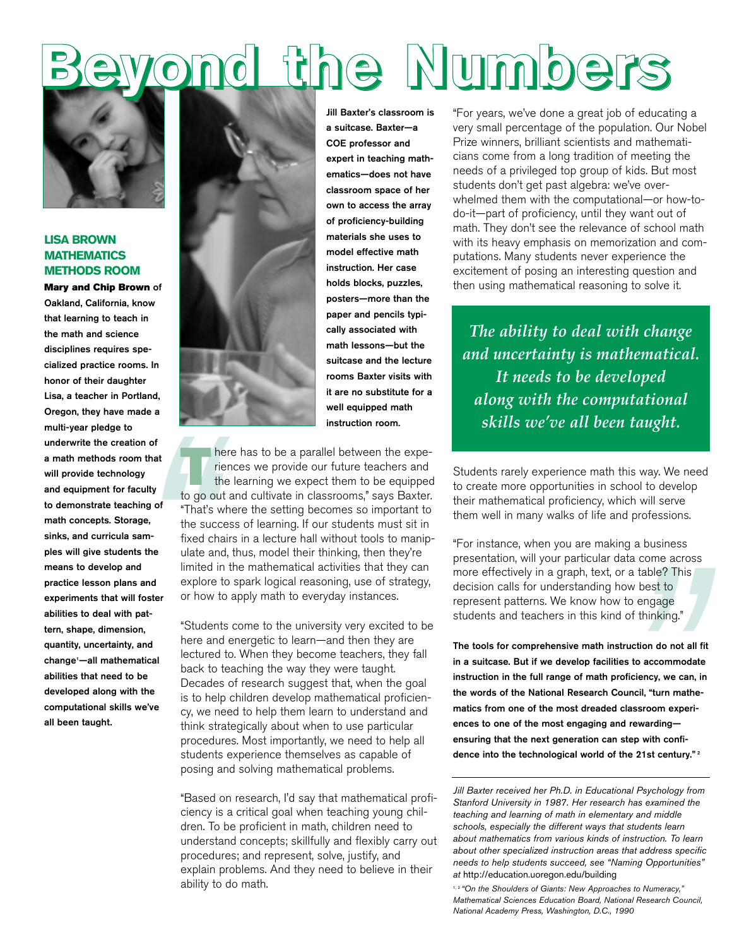# **Beyond the Numbers**



#### **LISA BROWN MATHEMATICS METHODS ROOM**

Friendom Sacrific Sample 1<br>
That's the sum-<br>
sample of "That's the sumble sample in the sumble of the sumble of the sumble sample of the sumble sample in the sample of the sample of the sample of the sample of the sample o Mary and Chip Brown of Oakland, California, know that learning to teach in the math and science disciplines requires specialized practice rooms. In honor of their daughter Lisa, a teacher in Portland, Oregon, they have made a multi-year pledge to underwrite the creation of a math methods room that will provide technology and equipment for faculty to demonstrate teaching of math concepts. Storage, sinks, and curricula samples will give students the means to develop and practice lesson plans and experiments that will foster abilities to deal with pattern, shape, dimension, quantity, uncertainty, and change1 —all mathematical abilities that need to be developed along with the computational skills we've all been taught.



Jill Baxter's classroom is a suitcase. Baxter—a COE professor and expert in teaching mathematics—does not have classroom space of her own to access the array of proficiency-building materials she uses to model effective math instruction. Her case holds blocks, puzzles, posters—more than the paper and pencils typically associated with math lessons—but the suitcase and the lecture rooms Baxter visits with it are no substitute for a well equipped math instruction room.

There has to be a parallel between the experiences we provide our future teachers and the learning we expect them to be equipped to go out and cultivate in classrooms," says Baxter. "That's where the setting becomes so important to the success of learning. If our students must sit in fixed chairs in a lecture hall without tools to manipulate and, thus, model their thinking, then they're limited in the mathematical activities that they can explore to spark logical reasoning, use of strategy, or how to apply math to everyday instances.

"Students come to the university very excited to be here and energetic to learn—and then they are lectured to. When they become teachers, they fall back to teaching the way they were taught. Decades of research suggest that, when the goal is to help children develop mathematical proficiency, we need to help them learn to understand and think strategically about when to use particular procedures. Most importantly, we need to help all students experience themselves as capable of posing and solving mathematical problems.

"Based on research, I'd say that mathematical proficiency is a critical goal when teaching young children. To be proficient in math, children need to understand concepts; skillfully and flexibly carry out procedures; and represent, solve, justify, and explain problems. And they need to believe in their ability to do math.

"For years, we've done a great job of educating a very small percentage of the population. Our Nobel Prize winners, brilliant scientists and mathematicians come from a long tradition of meeting the needs of a privileged top group of kids. But most students don't get past algebra: we've overwhelmed them with the computational—or how-todo-it—part of proficiency, until they want out of math. They don't see the relevance of school math with its heavy emphasis on memorization and computations. Many students never experience the excitement of posing an interesting question and then using mathematical reasoning to solve it.

*The ability to deal with change and uncertainty is mathematical. It needs to be developed along with the computational skills we've all been taught.*

Students rarely experience math this way. We need to create more opportunities in school to develop their mathematical proficiency, which will serve them well in many walks of life and professions.

"For instance, when you are making a business presentation, will your particular data come across more effectively in a graph, text, or a table? This decision calls for understanding how best to represent patterns. We know how to engage students and teachers in this kind of thinking."

aata come acros<br>or a table? This<br>now best to<br>v to engage<br>d of thinking."<br>struction do not all<br>ies to accommoda<br>roficiency, we can,<br>council, "turn math<br>classroom experind rewarding—<br>i step with confi-<br>the 21st century."<br>con The tools for comprehensive math instruction do not all fit in a suitcase. But if we develop facilities to accommodate instruction in the full range of math proficiency, we can, in the words of the National Research Council, "turn mathematics from one of the most dreaded classroom experiences to one of the most engaging and rewarding ensuring that the next generation can step with confidence into the technological world of the 21st century."<sup>2</sup>

*Jill Baxter received her Ph.D. in Educational Psychology from Stanford University in 1987. Her research has examined the teaching and learning of math in elementary and middle schools, especially the different ways that students learn about mathematics from various kinds of instruction. To learn about other specialized instruction areas that address specific needs to help students succeed, see "Naming Opportunities" at* http://education.uoregon.edu/building

1, 2 *"On the Shoulders of Giants: New Approaches to Numeracy," Mathematical Sciences Education Board, National Research Council, National Academy Press, Washington, D.C., 1990*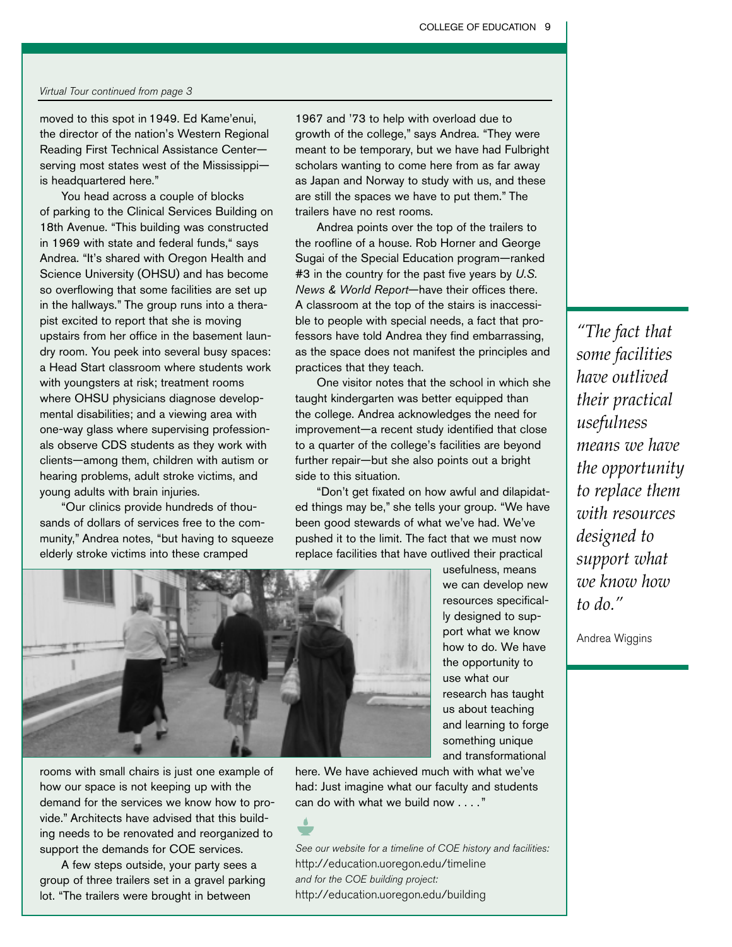#### Virtual Tour continued from page 3

moved to this spot in 1949. Ed Kame'enui, the director of the nation's Western Regional Reading First Technical Assistance Center serving most states west of the Mississippi is headquartered here."

You head across a couple of blocks of parking to the Clinical Services Building on 18th Avenue. "This building was constructed in 1969 with state and federal funds," says Andrea. "It's shared with Oregon Health and Science University (OHSU) and has become so overflowing that some facilities are set up in the hallways." The group runs into a therapist excited to report that she is moving upstairs from her office in the basement laundry room. You peek into several busy spaces: a Head Start classroom where students work with youngsters at risk; treatment rooms where OHSU physicians diagnose developmental disabilities; and a viewing area with one-way glass where supervising professionals observe CDS students as they work with clients—among them, children with autism or hearing problems, adult stroke victims, and young adults with brain injuries.

"Our clinics provide hundreds of thousands of dollars of services free to the community," Andrea notes, "but having to squeeze elderly stroke victims into these cramped

1967 and '73 to help with overload due to growth of the college," says Andrea. "They were meant to be temporary, but we have had Fulbright scholars wanting to come here from as far away as Japan and Norway to study with us, and these are still the spaces we have to put them." The trailers have no rest rooms.

Andrea points over the top of the trailers to the roofline of a house. Rob Horner and George Sugai of the Special Education program—ranked #3 in the country for the past five years by *U.S. News & World Report*—have their offices there. A classroom at the top of the stairs is inaccessible to people with special needs, a fact that professors have told Andrea they find embarrassing, as the space does not manifest the principles and practices that they teach.

One visitor notes that the school in which she taught kindergarten was better equipped than the college. Andrea acknowledges the need for improvement—a recent study identified that close to a quarter of the college's facilities are beyond further repair—but she also points out a bright side to this situation.

"Don't get fixated on how awful and dilapidated things may be," she tells your group. "We have been good stewards of what we've had. We've pushed it to the limit. The fact that we must now replace facilities that have outlived their practical



rooms with small chairs is just one example of how our space is not keeping up with the demand for the services we know how to provide." Architects have advised that this building needs to be renovated and reorganized to support the demands for COE services.

A few steps outside, your party sees a group of three trailers set in a gravel parking lot. "The trailers were brought in between

we can develop new resources specifically designed to support what we know how to do. We have the opportunity to use what our research has taught us about teaching and learning to forge something unique and transformational

usefulness, means

here. We have achieved much with what we've had: Just imagine what our faculty and students can do with what we build now . . . ."

See our website for a timeline of COE history and facilities: http://education.uoregon.edu/timeline and for the COE building project: http://education.uoregon.edu/building

*"The fact that some facilities have outlived their practical usefulness means we have the opportunity to replace them with resources designed to support what we know how to do."*

Andrea Wiggins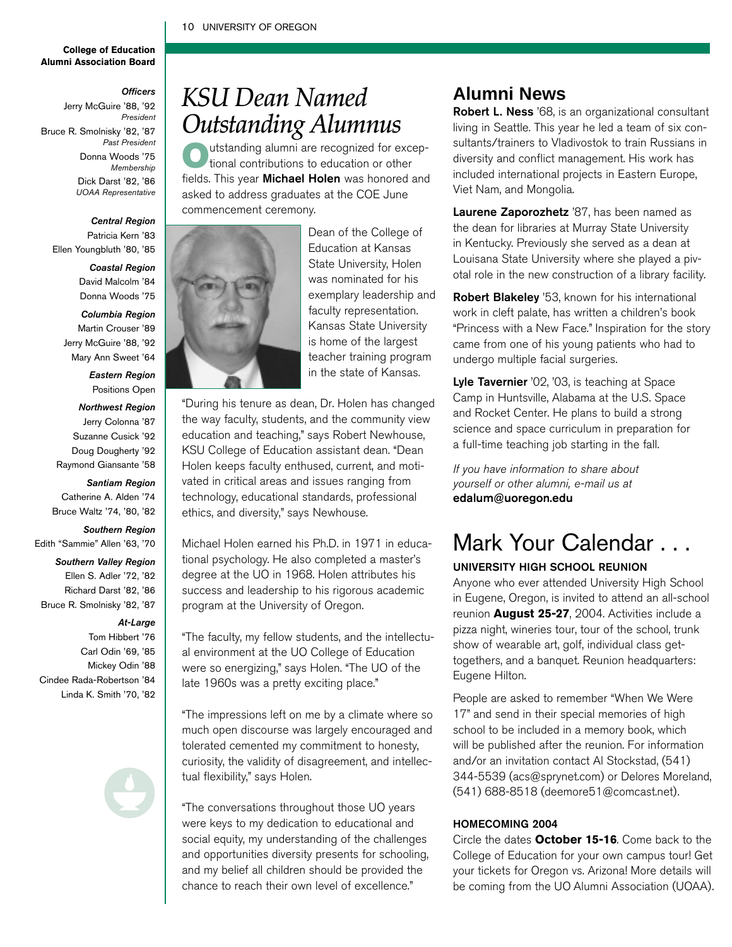#### 10 UNIVERSITY OF OREGON

#### **College of Education Alumni Association Board**

*Officers*

Jerry McGuire '88, '92 *President*  Bruce R. Smolnisky '82, '87 *Past President* Donna Woods '75 *Membership* Dick Darst '82, '86 *UOAA Representative*

#### *Central Region* Patricia Kern '83

Ellen Youngbluth '80, '85

#### *Coastal Region*

David Malcolm '84 Donna Woods '75

#### *Columbia Region*

Martin Crouser '89 Jerry McGuire '88, '92 Mary Ann Sweet '64

> *Eastern Region* Positions Open

#### *Northwest Region*

Jerry Colonna '87

- Suzanne Cusick '92
- Doug Dougherty '92

Raymond Giansante '58

#### *Santiam Region*

Catherine A. Alden '74 Bruce Waltz '74, '80, '82

#### *Southern Region*

Edith "Sammie" Allen '63, '70

#### *Southern Valley Region*

- Ellen S. Adler '72, '82
- Richard Darst '82, '86
- Bruce R. Smolnisky '82, '87

#### *At-Large*

- Tom Hibbert '76
- Carl Odin '69, '85
- Mickey Odin '88
- Cindee Rada-Robertson '84
	- Linda K. Smith '70, '82

## *KSU Dean Named Outstanding Alumnus*

Outstanding alumni are recognized for excep-tional contributions to education or other fields. This year **Michael Holen** was honored and asked to address graduates at the COE June commencement ceremony.



Dean of the College of Education at Kansas State University, Holen was nominated for his exemplary leadership and faculty representation. Kansas State University is home of the largest teacher training program in the state of Kansas.

"During his tenure as dean, Dr. Holen has changed the way faculty, students, and the community view education and teaching," says Robert Newhouse, KSU College of Education assistant dean. "Dean Holen keeps faculty enthused, current, and motivated in critical areas and issues ranging from technology, educational standards, professional ethics, and diversity," says Newhouse.

Michael Holen earned his Ph.D. in 1971 in educational psychology. He also completed a master's degree at the UO in 1968. Holen attributes his success and leadership to his rigorous academic program at the University of Oregon.

"The faculty, my fellow students, and the intellectual environment at the UO College of Education were so energizing," says Holen. "The UO of the late 1960s was a pretty exciting place."

"The impressions left on me by a climate where so much open discourse was largely encouraged and tolerated cemented my commitment to honesty, curiosity, the validity of disagreement, and intellectual flexibility," says Holen.

"The conversations throughout those UO years were keys to my dedication to educational and social equity, my understanding of the challenges and opportunities diversity presents for schooling, and my belief all children should be provided the chance to reach their own level of excellence."

### **Alumni News**

Robert L. Ness '68, is an organizational consultant living in Seattle. This year he led a team of six consultants/trainers to Vladivostok to train Russians in diversity and conflict management. His work has included international projects in Eastern Europe, Viet Nam, and Mongolia.

Laurene Zaporozhetz '87, has been named as the dean for libraries at Murray State University in Kentucky. Previously she served as a dean at Louisana State University where she played a pivotal role in the new construction of a library facility.

Robert Blakeley '53, known for his international work in cleft palate, has written a children's book "Princess with a New Face." Inspiration for the story came from one of his young patients who had to undergo multiple facial surgeries.

Lyle Tavernier '02, '03, is teaching at Space Camp in Huntsville, Alabama at the U.S. Space and Rocket Center. He plans to build a strong science and space curriculum in preparation for a full-time teaching job starting in the fall.

If you have information to share about yourself or other alumni, e-mail us at edalum@uoregon.edu

## Mark Your Calendar . . .

#### UNIVERSITY HIGH SCHOOL REUNION

Anyone who ever attended University High School in Eugene, Oregon, is invited to attend an all-school reunion **August 25-27**, 2004. Activities include a pizza night, wineries tour, tour of the school, trunk show of wearable art, golf, individual class gettogethers, and a banquet. Reunion headquarters: Eugene Hilton.

People are asked to remember "When We Were 17" and send in their special memories of high school to be included in a memory book, which will be published after the reunion. For information and/or an invitation contact Al Stockstad, (541) 344-5539 (acs@sprynet.com) or Delores Moreland, (541) 688-8518 (deemore51@comcast.net).

#### HOMECOMING 2004

Circle the dates **October 15-16**. Come back to the College of Education for your own campus tour! Get your tickets for Oregon vs. Arizona! More details will be coming from the UO Alumni Association (UOAA).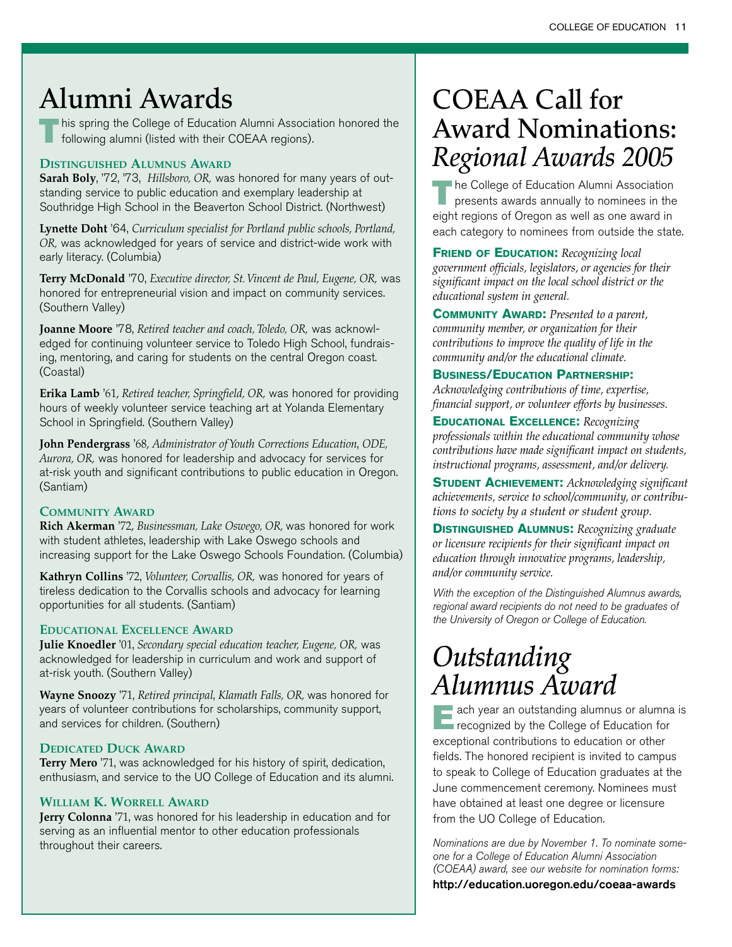## **Alumni Awards**

This spring the College of Education Alumni Association honored the following alumni (listed with their COEAA regions).

### **DISTINGUISHED ALUMNUS AWARD**

**Sarah Boly**, '72, '73, *Hillsboro, OR,* was honored for many years of outstanding service to public education and exemplary leadership at Southridge High School in the Beaverton School District. (Northwest)

**Lynette Doht** '64, *Curriculum specialist for Portland public schools, Portland, OR,* was acknowledged for years of service and district-wide work with early literacy. (Columbia)

**Terry McDonald** '70, *Executive director, St. Vincent de Paul, Eugene, OR,* was honored for entrepreneurial vision and impact on community services. (Southern Valley)

**Joanne Moore** '78, *Retired teacher and coach, Toledo, OR,* was acknowledged for continuing volunteer service to Toledo High School, fundraising, mentoring, and caring for students on the central Oregon coast. (Coastal)

**Erika Lamb** '61, *Retired teacher, Springfield, OR,* was honored for providing hours of weekly volunteer service teaching art at Yolanda Elementary School in Springfield. (Southern Valley)

**John Pendergrass** '68, *Administrator of Youth Corrections Education*, *ODE, Aurora, OR,* was honored for leadership and advocacy for services for at-risk youth and significant contributions to public education in Oregon. (Santiam)

### **COMMUNITY AWARD**

**Rich Akerman** '72, *Businessman, Lake Oswego, OR,* was honored for work with student athletes, leadership with Lake Oswego schools and increasing support for the Lake Oswego Schools Foundation. (Columbia)

**Kathryn Collins** '72, *Volunteer, Corvallis, OR,* was honored for years of tireless dedication to the Corvallis schools and advocacy for learning opportunities for all students. (Santiam)

### **EDUCATIONAL EXCELLENCE AWARD**

**Julie Knoedler** '01, *Secondary special education teacher, Eugene, OR,* was acknowledged for leadership in curriculum and work and support of at-risk youth. (Southern Valley)

**Wayne Snoozy** '71, *Retired principal*, *Klamath Falls, OR,* was honored for years of volunteer contributions for scholarships, community support, and services for children. (Southern)

### **DEDICATED DUCK AWARD**

**Terry Mero** '71, was acknowledged for his history of spirit, dedication, enthusiasm, and service to the UO College of Education and its alumni.

### **WILLIAM K. WORRELL AWARD**

**Jerry Colonna** '71, was honored for his leadership in education and for serving as an influential mentor to other education professionals throughout their careers.

## **COEAA Call for Award Nominations:** *Regional Awards 2005*

The College of Education Alumni Association presents awards annually to nominees in the eight regions of Oregon as well as one award in each category to nominees from outside the state.

**FRIEND OF EDUCATION:** *Recognizing local government officials, legislators, or agencies for their significant impact on the local school district or the educational system in general.*

**COMMUNITY AWARD:** *Presented to a parent, community member, or organization for their contributions to improve the quality of life in the community and/or the educational climate.*

### **BUSINESS/EDUCATION PARTNERSHIP:**

*Acknowledging contributions of time, expertise, financial support, or volunteer efforts by businesses.*

**EDUCATIONAL EXCELLENCE:** *Recognizing professionals within the educational community whose contributions have made significant impact on students, instructional programs, assessment, and/or delivery.*

**STUDENT ACHIEVEMENT:** *Acknowledging significant achievements, service to school/community, or contributions to society by a student or student group.*

**DISTINGUISHED ALUMNUS:** *Recognizing graduate or licensure recipients for their significant impact on education through innovative programs, leadership, and/or community service.*

With the exception of the Distinguished Alumnus awards, regional award recipients do not need to be graduates of the University of Oregon or College of Education.

## *Outstanding Alumnus Award*

Each year an outstanding alumnus or alumna is recognized by the College of Education for exceptional contributions to education or other fields. The honored recipient is invited to campus to speak to College of Education graduates at the June commencement ceremony. Nominees must have obtained at least one degree or licensure from the UO College of Education.

Nominations are due by November 1. To nominate someone for a College of Education Alumni Association (COEAA) award, see our website for nomination forms: http://education.uoregon.edu/coeaa-awards